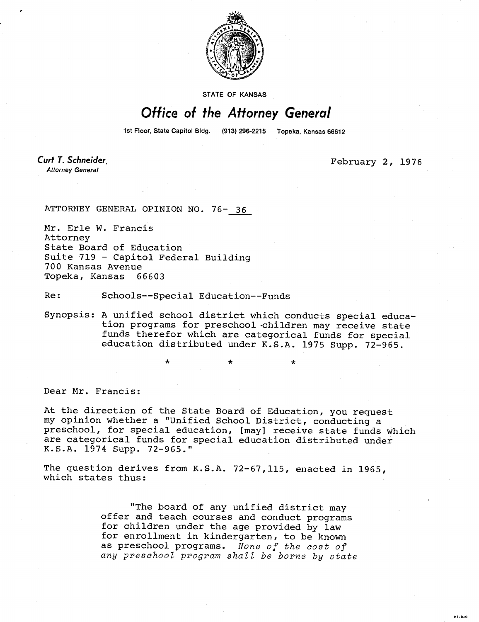

STATE OF KANSAS

## Office of the Attorney General

1st Floor, State Capitol Bldg.

(913) 296-2215 Topeka, Kansas 66612

Curt T. Schneider **Attorney General** 

February 2, 1976

**MI-104** 

ATTORNEY GENERAL OPINION NO. 76- 36

Mr. Erle W. Francis Attorney State Board of Education Suite 719 - Capitol Federal Building 700 Kansas Avenue Topeka, Kansas 66603

Re: Schools--Special Education--Funds

Synopsis: A unified school district which conducts special education programs for preschool children may receive state funds therefor which are categorical funds for special education distributed under K.S.A. 1975 Supp. 72-965.

Dear Mr. Francis:

At the direction of the State Board of Education, you request my opinion whether a "Unified School District, conducting a preschool, for special education, [may] receive state funds which are categorical funds for special education distributed under K.S.A. 1974 Supp. 72-965."

The question derives from K.S.A. 72-67,115, enacted in 1965, which states thus:

> "The board of any unified district may offer and teach courses and conduct programs for children under the age provided by law for enrollment in kindergarten, to be known as preschool programs. None of the cost of any preschool program shall be borne by state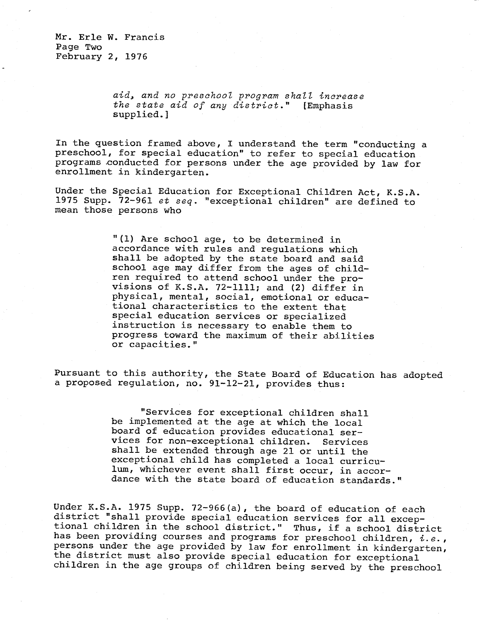Mr. Erle W. Francis Page Two February 2, 1976

> aid, and no preschool program shall increase the state aid of any district." [Emphasis supplied.]

In the question framed above, I understand the term "conducting a preschool, for special education" to refer to special education programs conducted for persons under the age provided by law for enrollment in kindergarten.

Under the Special Education for Exceptional Children Act, K.S.A. 1975 Supp. 72-961 et seq. "exceptional children" are defined to mean those persons who

> "(1) Are school age, to be determined in accordance with rules and regulations which shall be adopted by the state board and said school age may differ from the ages of children required to attend school under the provisions of K.S.A. 72-1111; and (2) differ in physical, mental, social, emotional or educational characteristics to the extent that special education services or specialized instruction is necessary to enable them to progress toward the maximum of their abilities or capacities."

Pursuant to this authority, the State Board of Education has adopted a proposed regulation, no. 91-12-21, provides thus:

> "Services for exceptional children shall be implemented at the age at which the local board of education provides educational services for non-exceptional children. Services shall be extended through age 21 or until the exceptional child has completed a local curriculum, whichever event shall first occur, in accordance with the state board of education standards."

Under K.S.A. 1975 Supp. 72-966(a), the board of education of each district "shall provide special education services for all exceptional children in the school district." Thus, if a school district has been providing courses and programs for preschool children,  $i.e.,$ persons under the age provided by law for enrollment in kindergarten, the district must also provide special education for exceptional children in the age groups of children being served by the preschool